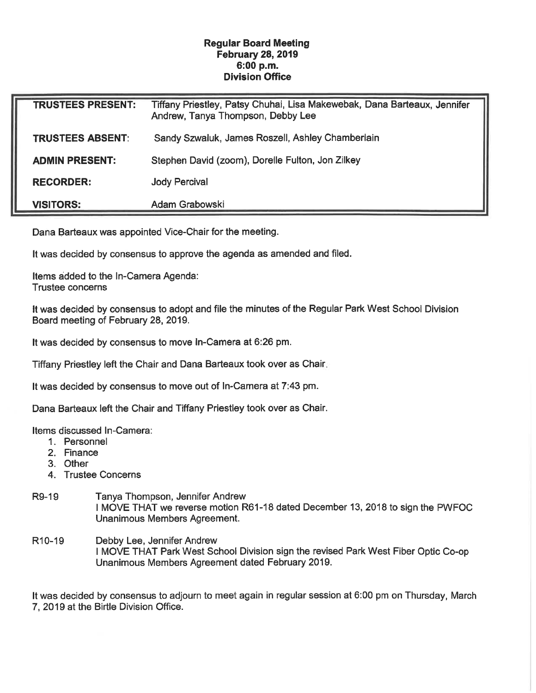## Regular Board Meeting February 28, 2019 6:00 p.m. Division Office

| <b>TRUSTEES PRESENT:</b> | Tiffany Priestley, Patsy Chuhai, Lisa Makewebak, Dana Barteaux, Jennifer<br>Andrew, Tanya Thompson, Debby Lee |
|--------------------------|---------------------------------------------------------------------------------------------------------------|
| TRUSTEES ABSENT:         | Sandy Szwaluk, James Roszell, Ashley Chamberlain                                                              |
| <b>ADMIN PRESENT:</b>    | Stephen David (zoom), Dorelle Fulton, Jon Zilkey                                                              |
| <b>RECORDER:</b>         | <b>Jody Percival</b>                                                                                          |
| <b>VISITORS:</b>         | Adam Grabowski                                                                                                |

Dana Barteaux was appointed Vice-Chair for the meeting.

It was decided by consensus to approve the agenda as amended and filed.

Items added to the In-Camera Agenda: Trustee concerns

It was decided by consensus to adopt and file the minutes of the Regular Park West School Division Board meeting of February 28, 2019.

It was decided by consensus to move In-Camera at 6:26 pm.

Tiffany Priestley left the Chair and Dana Barteaux took over as Chair

It was decided by consensus to move out of In-Camera at 7:43 pm.

Dana Barteaux left the Chair and Tiffany Priestley took over as Chair.

Items discussed In-Camera:

- 1. Personnel
- 2. Finance
- 3. Other
- 4. Trustee Concerns
- R9-19 Tanya Thompson, Jennifer Andrew I MOVE THAT we reverse motion R61-18 dated December 13, 2018 to sign the PWFOC Unanimous Members Agreement.
- R10-19 Debby Lee, Jennifer Andrew I MOVE THAT Park West School Division sign the revised Park West Fiber Optic Co-op Unanimous Members Agreement dated February 2019.

It was decided by consensus to adjourn to meet again in regular session at 6:00 pm on Thursday, March 7, 2019 at the Birtle Division Office.